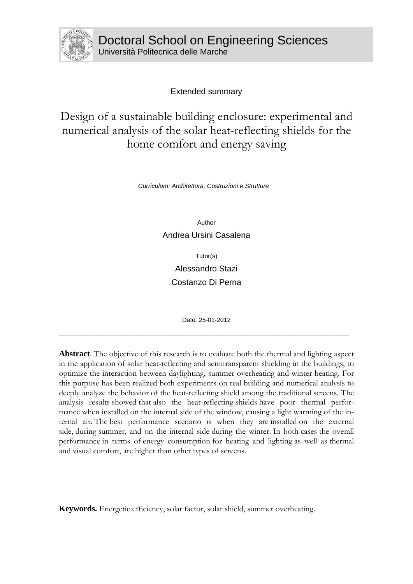

Extended summary

# Design of a sustainable building enclosure: experimental and numerical analysis of the solar heat-reflecting shields for the home comfort and energy saving

*Curriculum: Architettura, Costruzioni e Strutture* 

Author

Andrea Ursini Casalena

Tutor(s) Alessandro Stazi Costanzo Di Perna

Date: 25-01-2012

\_\_\_\_\_\_\_\_\_\_\_\_\_\_\_\_\_\_\_\_\_\_\_\_\_\_\_\_\_\_\_\_\_\_\_\_\_\_\_\_\_\_\_\_\_\_\_\_\_\_\_\_\_\_\_\_\_\_\_\_\_\_\_\_\_\_\_\_\_\_\_\_\_\_\_\_\_\_\_\_\_\_\_\_\_\_\_\_\_\_\_\_\_\_\_\_\_\_\_\_\_\_\_\_

**Abstract**. The objective of this research is to evaluate both the thermal and lighting aspect in the application of solar heat-reflecting and semitransparent shielding in the buildings, to optimize the interaction between daylighting, summer overheating and winter heating. For this purpose has been realized both experiments on real building and numerical analysis to deeply analyze the behavior of the heat-reflecting shield among the traditional screens. The analysis results showed that also the heat-reflecting shields have poor thermal performance when installed on the internal side of the window, causing a light warming of the internal air. The best performance scenario is when they are installed on the external side, during summer, and on the internal side during the winter. In both cases the overall performance in terms of energy consumption for heating and lighting as well as thermal and visual comfort, are higher than other types of screens.

**Keywords.** Energetic efficiency, solar factor, solar shield, summer overheating.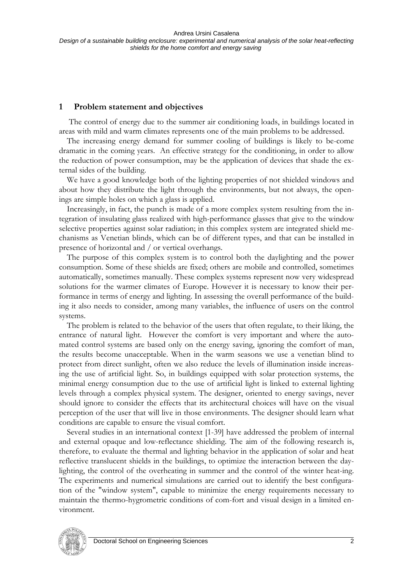## **1 Problem statement and objectives**

 The control of energy due to the summer air conditioning loads, in buildings located in areas with mild and warm climates represents one of the main problems to be addressed.

The increasing energy demand for summer cooling of buildings is likely to be-come dramatic in the coming years. An effective strategy for the conditioning, in order to allow the reduction of power consumption, may be the application of devices that shade the external sides of the building.

We have a good knowledge both of the lighting properties of not shielded windows and about how they distribute the light through the environments, but not always, the openings are simple holes on which a glass is applied.

Increasingly, in fact, the punch is made of a more complex system resulting from the integration of insulating glass realized with high-performance glasses that give to the window selective properties against solar radiation; in this complex system are integrated shield mechanisms as Venetian blinds, which can be of different types, and that can be installed in presence of horizontal and / or vertical overhangs.

The purpose of this complex system is to control both the daylighting and the power consumption. Some of these shields are fixed; others are mobile and controlled, sometimes automatically, sometimes manually. These complex systems represent now very widespread solutions for the warmer climates of Europe. However it is necessary to know their performance in terms of energy and lighting. In assessing the overall performance of the building it also needs to consider, among many variables, the influence of users on the control systems.

The problem is related to the behavior of the users that often regulate, to their liking, the entrance of natural light. However the comfort is very important and where the automated control systems are based only on the energy saving, ignoring the comfort of man, the results become unacceptable. When in the warm seasons we use a venetian blind to protect from direct sunlight, often we also reduce the levels of illumination inside increasing the use of artificial light. So, in buildings equipped with solar protection systems, the minimal energy consumption due to the use of artificial light is linked to external lighting levels through a complex physical system. The designer, oriented to energy savings, never should ignore to consider the effects that its architectural choices will have on the visual perception of the user that will live in those environments. The designer should learn what conditions are capable to ensure the visual comfort.

Several studies in an international context [1-39] have addressed the problem of internal and external opaque and low-reflectance shielding. The aim of the following research is, therefore, to evaluate the thermal and lighting behavior in the application of solar and heat reflective translucent shields in the buildings, to optimize the interaction between the daylighting, the control of the overheating in summer and the control of the winter heat-ing. The experiments and numerical simulations are carried out to identify the best configuration of the "window system", capable to minimize the energy requirements necessary to maintain the thermo-hygrometric conditions of com-fort and visual design in a limited environment.

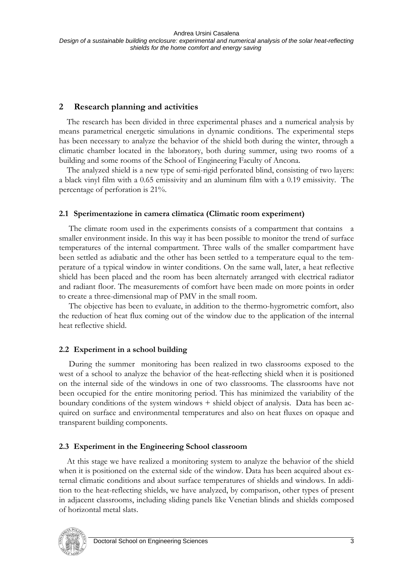# **2 Research planning and activities**

The research has been divided in three experimental phases and a numerical analysis by means parametrical energetic simulations in dynamic conditions. The experimental steps has been necessary to analyze the behavior of the shield both during the winter, through a climatic chamber located in the laboratory, both during summer, using two rooms of a building and some rooms of the School of Engineering Faculty of Ancona.

The analyzed shield is a new type of semi-rigid perforated blind, consisting of two layers: a black vinyl film with a 0.65 emissivity and an aluminum film with a 0.19 emissivity. The percentage of perforation is 21%.

## **2.1 Sperimentazione in camera climatica (Climatic room experiment)**

The climate room used in the experiments consists of a compartment that contains a smaller environment inside. In this way it has been possible to monitor the trend of surface temperatures of the internal compartment. Three walls of the smaller compartment have been settled as adiabatic and the other has been settled to a temperature equal to the temperature of a typical window in winter conditions. On the same wall, later, a heat reflective shield has been placed and the room has been alternately arranged with electrical radiator and radiant floor. The measurements of comfort have been made on more points in order to create a three-dimensional map of PMV in the small room.

The objective has been to evaluate, in addition to the thermo-hygrometric comfort, also the reduction of heat flux coming out of the window due to the application of the internal heat reflective shield.

# **2.2 Experiment in a school building**

During the summer monitoring has been realized in two classrooms exposed to the west of a school to analyze the behavior of the heat-reflecting shield when it is positioned on the internal side of the windows in one of two classrooms. The classrooms have not been occupied for the entire monitoring period. This has minimized the variability of the boundary conditions of the system windows + shield object of analysis. Data has been acquired on surface and environmental temperatures and also on heat fluxes on opaque and transparent building components.

# **2.3 Experiment in the Engineering School classroom**

At this stage we have realized a monitoring system to analyze the behavior of the shield when it is positioned on the external side of the window. Data has been acquired about external climatic conditions and about surface temperatures of shields and windows. In addition to the heat-reflecting shields, we have analyzed, by comparison, other types of present in adjacent classrooms, including sliding panels like Venetian blinds and shields composed of horizontal metal slats.

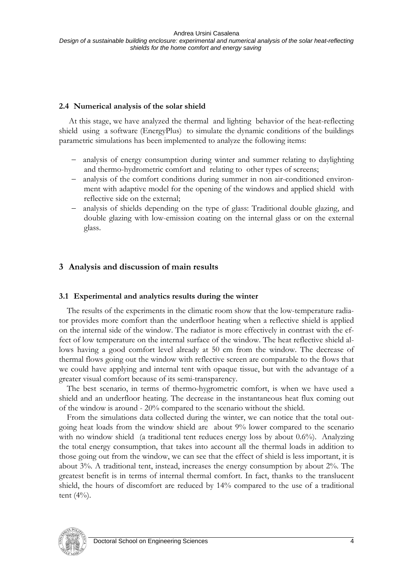#### **2.4 Numerical analysis of the solar shield**

At this stage, we have analyzed the thermal and lighting behavior of the heat-reflecting shield using a software (EnergyPlus) to simulate the dynamic conditions of the buildings parametric simulations has been implemented to analyze the following items:

- analysis of energy consumption during winter and summer relating to daylighting and thermo-hydrometric comfort and relating to other types of screens;
- analysis of the comfort conditions during summer in non air-conditioned environment with adaptive model for the opening of the windows and applied shield with reflective side on the external;
- analysis of shields depending on the type of glass: Traditional double glazing, and double glazing with low-emission coating on the internal glass or on the external glass.

# **3 Analysis and discussion of main results**

## **3.1 Experimental and analytics results during the winter**

The results of the experiments in the climatic room show that the low-temperature radiator provides more comfort than the underfloor heating when a reflective shield is applied on the internal side of the window. The radiator is more effectively in contrast with the effect of low temperature on the internal surface of the window. The heat reflective shield allows having a good comfort level already at 50 cm from the window. The decrease of thermal flows going out the window with reflective screen are comparable to the flows that we could have applying and internal tent with opaque tissue, but with the advantage of a greater visual comfort because of its semi-transparency.

The best scenario, in terms of thermo-hygrometric comfort, is when we have used a shield and an underfloor heating. The decrease in the instantaneous heat flux coming out of the window is around - 20% compared to the scenario without the shield.

From the simulations data collected during the winter, we can notice that the total outgoing heat loads from the window shield are about 9% lower compared to the scenario with no window shield (a traditional tent reduces energy loss by about 0.6%). Analyzing the total energy consumption, that takes into account all the thermal loads in addition to those going out from the window, we can see that the effect of shield is less important, it is about 3%. A traditional tent, instead, increases the energy consumption by about 2%. The greatest benefit is in terms of internal thermal comfort. In fact, thanks to the translucent shield, the hours of discomfort are reduced by 14% compared to the use of a traditional tent (4%).

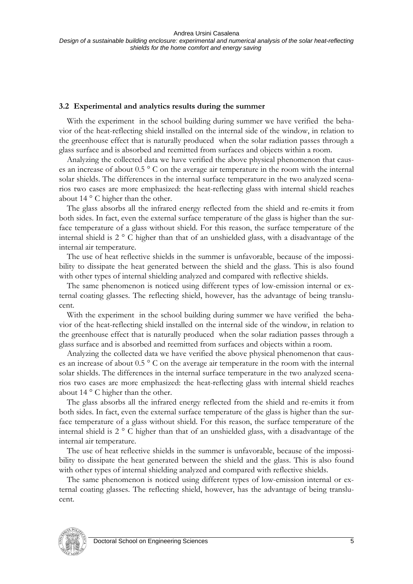#### **3.2 Experimental and analytics results during the summer**

With the experiment in the school building during summer we have verified the behavior of the heat-reflecting shield installed on the internal side of the window, in relation to the greenhouse effect that is naturally produced when the solar radiation passes through a glass surface and is absorbed and reemitted from surfaces and objects within a room.

Analyzing the collected data we have verified the above physical phenomenon that causes an increase of about 0.5 ° C on the average air temperature in the room with the internal solar shields. The differences in the internal surface temperature in the two analyzed scenarios two cases are more emphasized: the heat-reflecting glass with internal shield reaches about 14 ° C higher than the other.

The glass absorbs all the infrared energy reflected from the shield and re-emits it from both sides. In fact, even the external surface temperature of the glass is higher than the surface temperature of a glass without shield. For this reason, the surface temperature of the internal shield is 2 ° C higher than that of an unshielded glass, with a disadvantage of the internal air temperature.

The use of heat reflective shields in the summer is unfavorable, because of the impossibility to dissipate the heat generated between the shield and the glass. This is also found with other types of internal shielding analyzed and compared with reflective shields.

The same phenomenon is noticed using different types of low-emission internal or external coating glasses. The reflecting shield, however, has the advantage of being translucent.

With the experiment in the school building during summer we have verified the behavior of the heat-reflecting shield installed on the internal side of the window, in relation to the greenhouse effect that is naturally produced when the solar radiation passes through a glass surface and is absorbed and reemitted from surfaces and objects within a room.

Analyzing the collected data we have verified the above physical phenomenon that causes an increase of about 0.5 ° C on the average air temperature in the room with the internal solar shields. The differences in the internal surface temperature in the two analyzed scenarios two cases are more emphasized: the heat-reflecting glass with internal shield reaches about 14 ° C higher than the other.

The glass absorbs all the infrared energy reflected from the shield and re-emits it from both sides. In fact, even the external surface temperature of the glass is higher than the surface temperature of a glass without shield. For this reason, the surface temperature of the internal shield is 2 ° C higher than that of an unshielded glass, with a disadvantage of the internal air temperature.

The use of heat reflective shields in the summer is unfavorable, because of the impossibility to dissipate the heat generated between the shield and the glass. This is also found with other types of internal shielding analyzed and compared with reflective shields.

The same phenomenon is noticed using different types of low-emission internal or external coating glasses. The reflecting shield, however, has the advantage of being translucent.

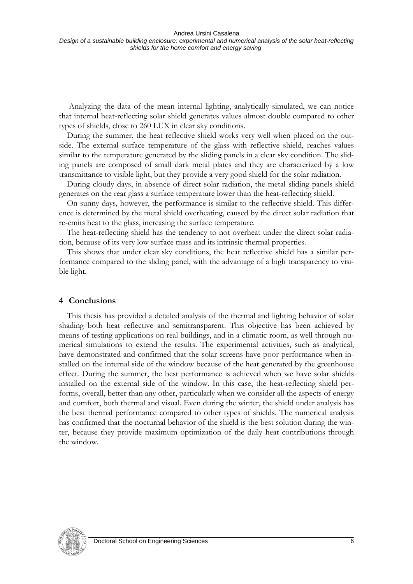Analyzing the data of the mean internal lighting, analytically simulated, we can notice that internal heat-reflecting solar shield generates values almost double compared to other types of shields, close to 260 LUX in clear sky conditions.

During the summer, the heat reflective shield works very well when placed on the outside. The external surface temperature of the glass with reflective shield, reaches values similar to the temperature generated by the sliding panels in a clear sky condition. The sliding panels are composed of small dark metal plates and they are characterized by a low transmittance to visible light, but they provide a very good shield for the solar radiation.

During cloudy days, in absence of direct solar radiation, the metal sliding panels shield generates on the rear glass a surface temperature lower than the heat-reflecting shield.

On sunny days, however, the performance is similar to the reflective shield. This difference is determined by the metal shield overheating, caused by the direct solar radiation that re-emits heat to the glass, increasing the surface temperature.

The heat-reflecting shield has the tendency to not overheat under the direct solar radiation, because of its very low surface mass and its intrinsic thermal properties.

This shows that under clear sky conditions, the heat reflective shield has a similar performance compared to the sliding panel, with the advantage of a high transparency to visible light.

#### **4 Conclusions**

This thesis has provided a detailed analysis of the thermal and lighting behavior of solar shading both heat reflective and semitransparent. This objective has been achieved by means of testing applications on real buildings, and in a climatic room, as well through numerical simulations to extend the results. The experimental activities, such as analytical, have demonstrated and confirmed that the solar screens have poor performance when installed on the internal side of the window because of the heat generated by the greenhouse effect. During the summer, the best performance is achieved when we have solar shields installed on the external side of the window. In this case, the heat-reflecting shield performs, overall, better than any other, particularly when we consider all the aspects of energy and comfort, both thermal and visual. Even during the winter, the shield under analysis has the best thermal performance compared to other types of shields. The numerical analysis has confirmed that the nocturnal behavior of the shield is the best solution during the winter, because they provide maximum optimization of the daily heat contributions through the window.

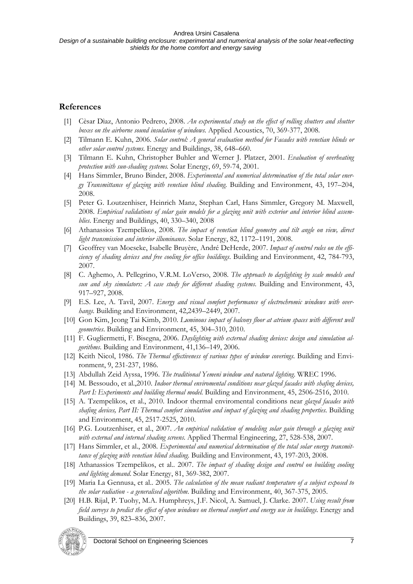## **References**

- [1] Cèsar Dìaz, Antonio Pedrero, 2008. *An experimental study on the effect of rolling shutters and shutter boxes on the airborne sound insulation of windows.* Applied Acoustics, 70, 369-377, 2008.
- [2] Tilmann E. Kuhn, 2006. *Solar control: A general evaluation method for Facades with venetian blinds or other solar control systems.* Energy and Buildings, 38, 648–660.
- [3] Tilmann E. Kuhn, Christopher Buhler and Werner J. Platzer, 2001. *Evaluation of overheating protection with sun-shading systems.* Solar Energy, 69, 59-74, 2001.
- [4] Hans Simmler, Bruno Binder, 2008. *Experimental and numerical determination of the total solar energy Transmittance of glazing with venetian blind shading*. Building and Environment, 43, 197–204, 2008.
- [5] Peter G. Loutzenhiser, Heinrich Manz, Stephan Carl, Hans Simmler, Gregory M. Maxwell, 2008. *Empirical validations of solar gain models for a glazing unit with exterior and interior blind assemblies*. Energy and Buildings, 40, 330–340, 2008
- [6] Athanassios Tzempelikos, 2008. *The impact of venetian blind geometry and tilt angle on view, direct light transmission and interior illuminance*. Solar Energy, 82, 1172–1191, 2008.
- [7] Geoffrey van Moeseke, Isabelle Bruyère, André DeHerde, 2007. *Impact of control rules on the efficiency of shading devices and free cooling for office buildings*. Building and Environment, 42, 784-793, 2007.
- [8] C. Aghemo, A. Pellegrino, V.R.M. LoVerso, 2008. *The approach to daylighting by scale models and sun and sky simulators: A case study for different shading systems*. Building and Environment, 43, 917–927, 2008.
- [9] E.S. Lee, A. Tavil, 2007. *Energy and visual comfort performance of electrochromic windows with overhangs*. Building and Environment, 42,2439–2449, 2007.
- [10] Gon Kim, Jeong Tai Kimb, 2010. *Luminous impact of balcony floor at atrium spaces with different well geometries*. Building and Environment, 45, 304–310, 2010.
- [11] F. Gugliermetti, F. Bisegna, 2006. *Daylighting with external shading devices: design and simulation algorithms*. Building and Environment, 41,136–149, 2006.
- [12] Keith Nicol, 1986. *The Thermal effectiveness of various types of window coverings*. Building and Environment, 9, 231-237, 1986.
- [13] Abdullah Zeid Ayssa, 1996. *The traditional Yemeni window and natural lighting*. WREC 1996.
- [14] M. Bessoudo, et al.,2010. *Indoor thermal enviromental conditions near glazed facades with shafing devices, Part I: Experiments and building thermal model.* Building and Environment, 45, 2506-2516, 2010.
- [15] A. Tzempelikos, et al., 2010. Indoor thermal enviromental conditions near *glazed facades with shafing devices, Part II: Thermal comfort simulation and impact of glazing and shading properties*. Building and Environment, 45, 2517-2525, 2010.
- [16] P.G. Loutzenhiser, et al., 2007. *An empirical validation of modeling solar gain through a glazing unit with external and internal shading screens*. Applied Thermal Engineering, 27, 528-538, 2007.
- [17] Hans Simmler, et al., 2008. *Experimental and numerical determination of the total solar energy transmittance of glazing with venetian blind shading*. Building and Environment, 43, 197-203, 2008.
- [18] Athanassios Tzempelikos, et al.. 2007. *The impact of shading design and control on building cooling and lighting demand*. Solar Energy, 81, 369-382, 2007.
- [19] Maria La Gennusa, et al.. 2005. *The calculation of the mean radiant temperature of a subject exposed to the solar radiation - a generalised algorithm*. Building and Environment, 40, 367-375, 2005.
- [20] H.B. Rijal, P. Tuohy, M.A. Humphreys, J.F. Nicol, A. Samuel, J. Clarke. 2007. *Using result from field surveys to predict the effect of open windows on thermal comfort and energy use in buildings*. Energy and Buildings, 39, 823–836, 2007.